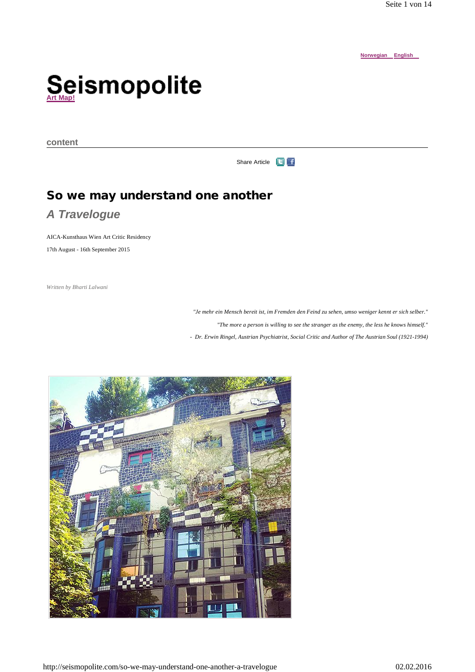**Norwegian English**

# ${\mathop{\mathbf{Se}}\nolimits}_{\mathop{\mathsf{Arr}}\nolimits(\mathop{\mathsf{Map}}\nolimits)}$  ismopolite

**content** 

Share Article **F** 

# **So we may understand one another**

# *A Travelogue*

AICA-Kunsthaus Wien Art Critic Residency 17th August - 16th September 2015

*Written by Bharti Lalwani*

*"Je mehr ein Mensch bereit ist, im Fremden den Feind zu sehen, umso weniger kennt er sich selber."* 

*"The more a person is willing to see the stranger as the enemy, the less he knows himself."*

*- Dr. Erwin Ringel, Austrian Psychiatrist, Social Critic and Author of The Austrian Soul (1921-1994)*

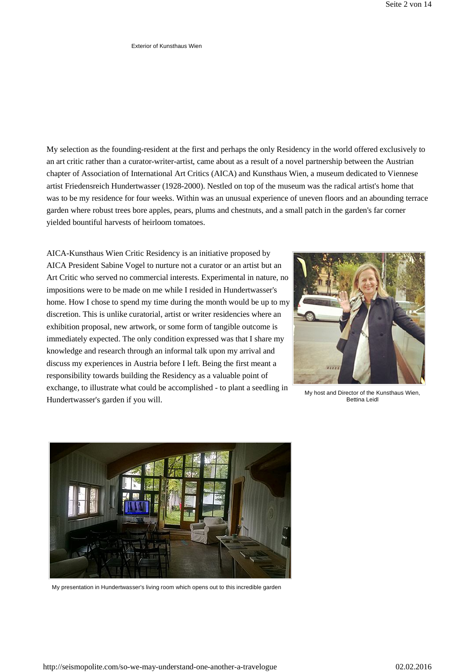#### Exterior of Kunsthaus Wien

My selection as the founding-resident at the first and perhaps the only Residency in the world offered exclusively to an art critic rather than a curator-writer-artist, came about as a result of a novel partnership between the Austrian chapter of Association of International Art Critics (AICA) and Kunsthaus Wien, a museum dedicated to Viennese artist Friedensreich Hundertwasser (1928-2000). Nestled on top of the museum was the radical artist's home that was to be my residence for four weeks. Within was an unusual experience of uneven floors and an abounding terrace garden where robust trees bore apples, pears, plums and chestnuts, and a small patch in the garden's far corner yielded bountiful harvests of heirloom tomatoes.

AICA-Kunsthaus Wien Critic Residency is an initiative proposed by AICA President Sabine Vogel to nurture not a curator or an artist but an Art Critic who served no commercial interests. Experimental in nature, no impositions were to be made on me while I resided in Hundertwasser's home. How I chose to spend my time during the month would be up to my discretion. This is unlike curatorial, artist or writer residencies where an exhibition proposal, new artwork, or some form of tangible outcome is immediately expected. The only condition expressed was that I share my knowledge and research through an informal talk upon my arrival and discuss my experiences in Austria before I left. Being the first meant a responsibility towards building the Residency as a valuable point of exchange, to illustrate what could be accomplished - to plant a seedling in Hundertwasser's garden if you will.



My host and Director of the Kunsthaus Wien, Bettina Leidl



My presentation in Hundertwasser's living room which opens out to this incredible garden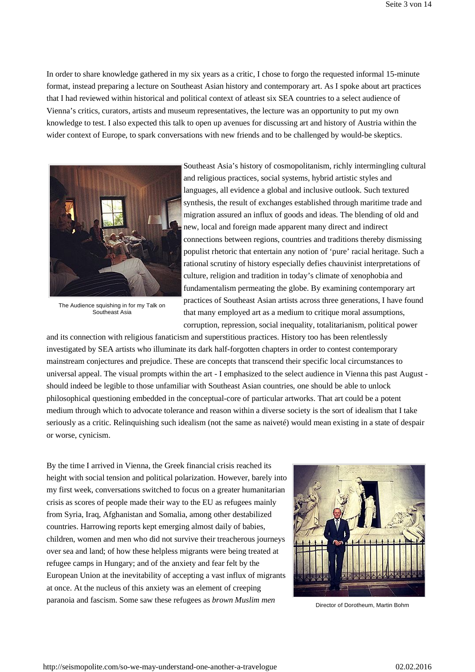In order to share knowledge gathered in my six years as a critic, I chose to forgo the requested informal 15-minute format, instead preparing a lecture on Southeast Asian history and contemporary art. As I spoke about art practices that I had reviewed within historical and political context of atleast six SEA countries to a select audience of Vienna's critics, curators, artists and museum representatives, the lecture was an opportunity to put my own knowledge to test. I also expected this talk to open up avenues for discussing art and history of Austria within the wider context of Europe, to spark conversations with new friends and to be challenged by would-be skeptics.



The Audience squishing in for my Talk on Southeast Asia

Southeast Asia's history of cosmopolitanism, richly intermingling cultural and religious practices, social systems, hybrid artistic styles and languages, all evidence a global and inclusive outlook. Such textured synthesis, the result of exchanges established through maritime trade and migration assured an influx of goods and ideas. The blending of old and new, local and foreign made apparent many direct and indirect connections between regions, countries and traditions thereby dismissing populist rhetoric that entertain any notion of 'pure' racial heritage. Such a rational scrutiny of history especially defies chauvinist interpretations of culture, religion and tradition in today's climate of xenophobia and fundamentalism permeating the globe. By examining contemporary art practices of Southeast Asian artists across three generations, I have found that many employed art as a medium to critique moral assumptions, corruption, repression, social inequality, totalitarianism, political power

and its connection with religious fanaticism and superstitious practices. History too has been relentlessly investigated by SEA artists who illuminate its dark half-forgotten chapters in order to contest contemporary mainstream conjectures and prejudice. These are concepts that transcend their specific local circumstances to universal appeal. The visual prompts within the art - I emphasized to the select audience in Vienna this past August should indeed be legible to those unfamiliar with Southeast Asian countries, one should be able to unlock philosophical questioning embedded in the conceptual-core of particular artworks. That art could be a potent medium through which to advocate tolerance and reason within a diverse society is the sort of idealism that I take seriously as a critic. Relinquishing such idealism (not the same as naiveté) would mean existing in a state of despair or worse, cynicism.

By the time I arrived in Vienna, the Greek financial crisis reached its height with social tension and political polarization. However, barely into my first week, conversations switched to focus on a greater humanitarian crisis as scores of people made their way to the EU as refugees mainly from Syria, Iraq, Afghanistan and Somalia, among other destabilized countries. Harrowing reports kept emerging almost daily of babies, children, women and men who did not survive their treacherous journeys over sea and land; of how these helpless migrants were being treated at refugee camps in Hungary; and of the anxiety and fear felt by the European Union at the inevitability of accepting a vast influx of migrants at once. At the nucleus of this anxiety was an element of creeping paranoia and fascism. Some saw these refugees as *brown Muslim men* 



Director of Dorotheum, Martin Bohm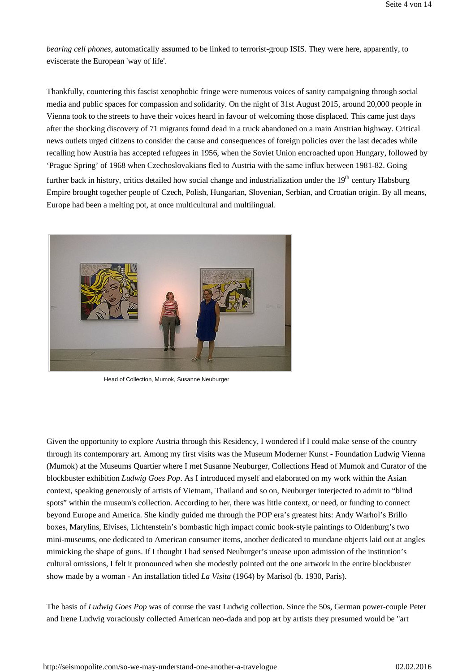*bearing cell phones*, automatically assumed to be linked to terrorist-group ISIS. They were here, apparently, to eviscerate the European 'way of life'.

Thankfully, countering this fascist xenophobic fringe were numerous voices of sanity campaigning through social media and public spaces for compassion and solidarity. On the night of 31st August 2015, around 20,000 people in Vienna took to the streets to have their voices heard in favour of welcoming those displaced. This came just days after the shocking discovery of 71 migrants found dead in a truck abandoned on a main Austrian highway. Critical news outlets urged citizens to consider the cause and consequences of foreign policies over the last decades while recalling how Austria has accepted refugees in 1956, when the Soviet Union encroached upon Hungary, followed by 'Prague Spring' of 1968 when Czechoslovakians fled to Austria with the same influx between 1981-82. Going

further back in history, critics detailed how social change and industrialization under the  $19<sup>th</sup>$  century Habsburg Empire brought together people of Czech, Polish, Hungarian, Slovenian, Serbian, and Croatian origin. By all means, Europe had been a melting pot, at once multicultural and multilingual.



Head of Collection, Mumok, Susanne Neuburger

Given the opportunity to explore Austria through this Residency, I wondered if I could make sense of the country through its contemporary art. Among my first visits was the Museum Moderner Kunst - Foundation Ludwig Vienna (Mumok) at the Museums Quartier where I met Susanne Neuburger, Collections Head of Mumok and Curator of the blockbuster exhibition *Ludwig Goes Pop*. As I introduced myself and elaborated on my work within the Asian context, speaking generously of artists of Vietnam, Thailand and so on, Neuburger interjected to admit to "blind spots" within the museum's collection. According to her, there was little context, or need, or funding to connect beyond Europe and America. She kindly guided me through the POP era's greatest hits: Andy Warhol's Brillo boxes, Marylins, Elvises, Lichtenstein's bombastic high impact comic book-style paintings to Oldenburg's two mini-museums, one dedicated to American consumer items, another dedicated to mundane objects laid out at angles mimicking the shape of guns. If I thought I had sensed Neuburger's unease upon admission of the institution's cultural omissions, I felt it pronounced when she modestly pointed out the one artwork in the entire blockbuster show made by a woman - An installation titled *La Visita* (1964) by Marisol (b. 1930, Paris).

The basis of *Ludwig Goes Pop* was of course the vast Ludwig collection. Since the 50s, German power-couple Peter and Irene Ludwig voraciously collected American neo-dada and pop art by artists they presumed would be "art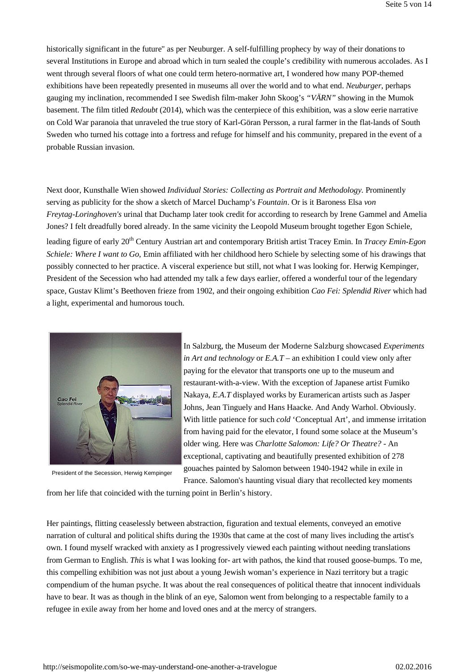historically significant in the future" as per Neuburger. A self-fulfilling prophecy by way of their donations to several Institutions in Europe and abroad which in turn sealed the couple's credibility with numerous accolades. As I went through several floors of what one could term hetero-normative art, I wondered how many POP-themed exhibitions have been repeatedly presented in museums all over the world and to what end. *Neuburger*, perhaps gauging my inclination, recommended I see Swedish film-maker John Skoog's *"VÄRN"* showing in the Mumok basement. The film titled *Redoubt* (2014), which was the centerpiece of this exhibition, was a slow eerie narrative on Cold War paranoia that unraveled the true story of Karl-Göran Persson, a rural farmer in the flat-lands of South Sweden who turned his cottage into a fortress and refuge for himself and his community, prepared in the event of a probable Russian invasion.

Next door, Kunsthalle Wien showed *Individual Stories: Collecting as Portrait and Methodology.* Prominently serving as publicity for the show a sketch of Marcel Duchamp's *Fountain*. Or is it Baroness Elsa *von Freytag*-*Loringhoven's* urinal that Duchamp later took credit for according to research by Irene Gammel and Amelia Jones? I felt dreadfully bored already. In the same vicinity the Leopold Museum brought together Egon Schiele,

leading figure of early 20<sup>th</sup> Century Austrian art and contemporary British artist Tracey Emin. In *Tracey Emin-Egon Schiele: Where I want to Go*, Emin affiliated with her childhood hero Schiele by selecting some of his drawings that possibly connected to her practice. A visceral experience but still, not what I was looking for. Herwig Kempinger, President of the Secession who had attended my talk a few days earlier, offered a wonderful tour of the legendary space, Gustav Klimt's Beethoven frieze from 1902, and their ongoing exhibition *Cao Fei: Splendid River* which had a light, experimental and humorous touch.



President of the Secession, Herwig Kempinger

In Salzburg, the Museum der Moderne Salzburg showcased *Experiments in Art and technology* or *E.A.T* – an exhibition I could view only after paying for the elevator that transports one up to the museum and restaurant-with-a-view. With the exception of Japanese artist Fumiko Nakaya, *E.A.T* displayed works by Euramerican artists such as Jasper Johns, Jean Tinguely and Hans Haacke. And Andy Warhol. Obviously. With little patience for such *cold* 'Conceptual Art', and immense irritation from having paid for the elevator, I found some solace at the Museum's older wing. Here was *Charlotte Salomon: Life? Or Theatre?* - An exceptional, captivating and beautifully presented exhibition of 278 gouaches painted by Salomon between 1940-1942 while in exile in

France. Salomon's haunting visual diary that recollected key moments

from her life that coincided with the turning point in Berlin's history.

Her paintings, flitting ceaselessly between abstraction, figuration and textual elements, conveyed an emotive narration of cultural and political shifts during the 1930s that came at the cost of many lives including the artist's own. I found myself wracked with anxiety as I progressively viewed each painting without needing translations from German to English. *This* is what I was looking for- art with pathos, the kind that roused goose-bumps. To me, this compelling exhibition was not just about a young Jewish woman's experience in Nazi territory but a tragic compendium of the human psyche. It was about the real consequences of political theatre that innocent individuals have to bear. It was as though in the blink of an eye, Salomon went from belonging to a respectable family to a refugee in exile away from her home and loved ones and at the mercy of strangers.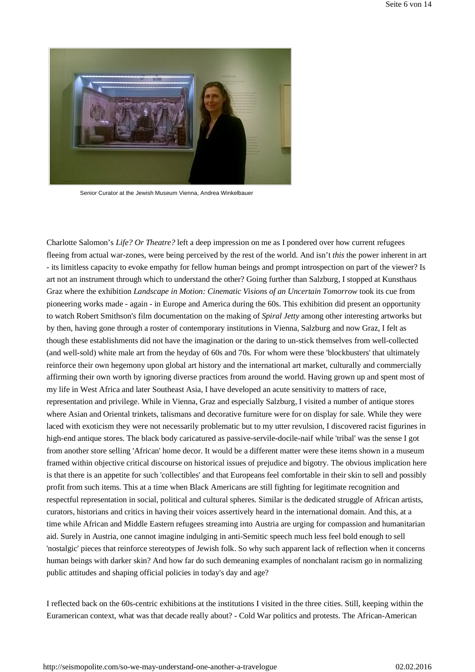

Senior Curator at the Jewish Museum Vienna, Andrea Winkelbauer

Charlotte Salomon's *Life? Or Theatre?* left a deep impression on me as I pondered over how current refugees fleeing from actual war-zones, were being perceived by the rest of the world. And isn't *this* the power inherent in art - its limitless capacity to evoke empathy for fellow human beings and prompt introspection on part of the viewer? Is art not an instrument through which to understand the other? Going further than Salzburg, I stopped at Kunsthaus Graz where the exhibition *Landscape in Motion: Cinematic Visions of an Uncertain Tomorrow* took its cue from pioneering works made - again - in Europe and America during the 60s. This exhibition did present an opportunity to watch Robert Smithson's film documentation on the making of *Spiral Jetty* among other interesting artworks but by then, having gone through a roster of contemporary institutions in Vienna, Salzburg and now Graz, I felt as though these establishments did not have the imagination or the daring to un-stick themselves from well-collected (and well-sold) white male art from the heyday of 60s and 70s. For whom were these 'blockbusters' that ultimately reinforce their own hegemony upon global art history and the international art market, culturally and commercially affirming their own worth by ignoring diverse practices from around the world. Having grown up and spent most of my life in West Africa and later Southeast Asia, I have developed an acute sensitivity to matters of race, representation and privilege. While in Vienna, Graz and especially Salzburg, I visited a number of antique stores where Asian and Oriental trinkets, talismans and decorative furniture were for on display for sale. While they were laced with exoticism they were not necessarily problematic but to my utter revulsion, I discovered racist figurines in high-end antique stores. The black body caricatured as passive-servile-docile-naif while 'tribal' was the sense I got from another store selling 'African' home decor. It would be a different matter were these items shown in a museum framed within objective critical discourse on historical issues of prejudice and bigotry. The obvious implication here is that there is an appetite for such 'collectibles' and that Europeans feel comfortable in their skin to sell and possibly profit from such items. This at a time when Black Americans are still fighting for legitimate recognition and respectful representation in social, political and cultural spheres. Similar is the dedicated struggle of African artists, curators, historians and critics in having their voices assertively heard in the international domain. And this, at a time while African and Middle Eastern refugees streaming into Austria are urging for compassion and humanitarian aid. Surely in Austria, one cannot imagine indulging in anti-Semitic speech much less feel bold enough to sell 'nostalgic' pieces that reinforce stereotypes of Jewish folk. So why such apparent lack of reflection when it concerns human beings with darker skin? And how far do such demeaning examples of nonchalant racism go in normalizing public attitudes and shaping official policies in today's day and age?

I reflected back on the 60s-centric exhibitions at the institutions I visited in the three cities. Still, keeping within the Euramerican context, what was that decade really about? - Cold War politics and protests. The African-American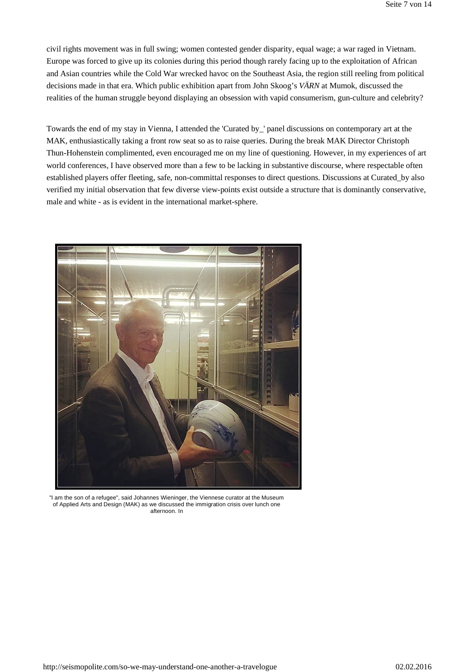civil rights movement was in full swing; women contested gender disparity, equal wage; a war raged in Vietnam. Europe was forced to give up its colonies during this period though rarely facing up to the exploitation of African and Asian countries while the Cold War wrecked havoc on the Southeast Asia, the region still reeling from political decisions made in that era. Which public exhibition apart from John Skoog's *VÄRN* at Mumok, discussed the realities of the human struggle beyond displaying an obsession with vapid consumerism, gun-culture and celebrity?

Towards the end of my stay in Vienna, I attended the 'Curated by\_' panel discussions on contemporary art at the MAK, enthusiastically taking a front row seat so as to raise queries. During the break MAK Director Christoph Thun-Hohenstein complimented, even encouraged me on my line of questioning. However, in my experiences of art world conferences, I have observed more than a few to be lacking in substantive discourse, where respectable often established players offer fleeting, safe, non-committal responses to direct questions. Discussions at Curated\_by also verified my initial observation that few diverse view-points exist outside a structure that is dominantly conservative, male and white - as is evident in the international market-sphere.



"I am the son of a refugee", said Johannes Wieninger, the Viennese curator at the Museum of Applied Arts and Design (MAK) as we discussed the immigration crisis over lunch one afternoon. In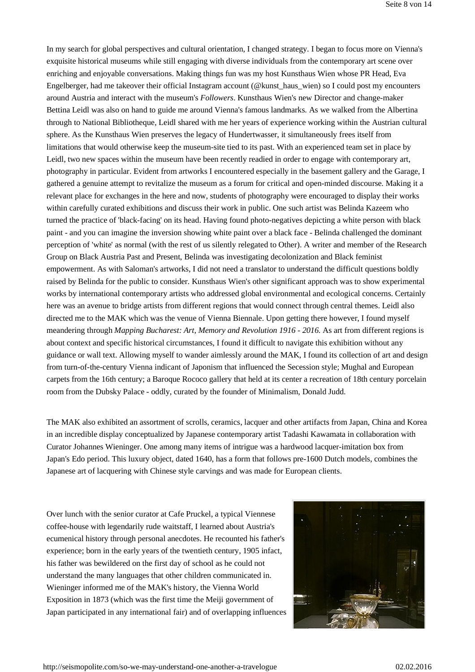In my search for global perspectives and cultural orientation, I changed strategy. I began to focus more on Vienna's exquisite historical museums while still engaging with diverse individuals from the contemporary art scene over enriching and enjoyable conversations. Making things fun was my host Kunsthaus Wien whose PR Head, Eva Engelberger, had me takeover their official Instagram account (@kunst\_haus\_wien) so I could post my encounters around Austria and interact with the museum's *Followers*. Kunsthaus Wien's new Director and change-maker Bettina Leidl was also on hand to guide me around Vienna's famous landmarks. As we walked from the Albertina through to National Bibliotheque, Leidl shared with me her years of experience working within the Austrian cultural sphere. As the Kunsthaus Wien preserves the legacy of Hundertwasser, it simultaneously frees itself from limitations that would otherwise keep the museum-site tied to its past. With an experienced team set in place by Leidl, two new spaces within the museum have been recently readied in order to engage with contemporary art, photography in particular. Evident from artworks I encountered especially in the basement gallery and the Garage, I gathered a genuine attempt to revitalize the museum as a forum for critical and open-minded discourse. Making it a relevant place for exchanges in the here and now, students of photography were encouraged to display their works within carefully curated exhibitions and discuss their work in public. One such artist was Belinda Kazeem who turned the practice of 'black-facing' on its head. Having found photo-negatives depicting a white person with black paint - and you can imagine the inversion showing white paint over a black face - Belinda challenged the dominant perception of 'white' as normal (with the rest of us silently relegated to Other). A writer and member of the Research Group on Black Austria Past and Present, Belinda was investigating decolonization and Black feminist empowerment. As with Saloman's artworks, I did not need a translator to understand the difficult questions boldly raised by Belinda for the public to consider. Kunsthaus Wien's other significant approach was to show experimental works by international contemporary artists who addressed global environmental and ecological concerns. Certainly here was an avenue to bridge artists from different regions that would connect through central themes. Leidl also directed me to the MAK which was the venue of Vienna Biennale. Upon getting there however, I found myself meandering through *Mapping Bucharest: Art, Memory and Revolution 1916 - 2016.* As art from different regions is about context and specific historical circumstances, I found it difficult to navigate this exhibition without any guidance or wall text. Allowing myself to wander aimlessly around the MAK, I found its collection of art and design from turn-of-the-century Vienna indicant of Japonism that influenced the Secession style; Mughal and European carpets from the 16th century; a Baroque Rococo gallery that held at its center a recreation of 18th century porcelain room from the Dubsky Palace - oddly, curated by the founder of Minimalism, Donald Judd.

The MAK also exhibited an assortment of scrolls, ceramics, lacquer and other artifacts from Japan, China and Korea in an incredible display conceptualized by Japanese contemporary artist Tadashi Kawamata in collaboration with Curator Johannes Wieninger. One among many items of intrigue was a hardwood lacquer-imitation box from Japan's Edo period. This luxury object, dated 1640, has a form that follows pre-1600 Dutch models, combines the Japanese art of lacquering with Chinese style carvings and was made for European clients.

Over lunch with the senior curator at Cafe Pruckel, a typical Viennese coffee-house with legendarily rude waitstaff, I learned about Austria's ecumenical history through personal anecdotes. He recounted his father's experience; born in the early years of the twentieth century, 1905 infact, his father was bewildered on the first day of school as he could not understand the many languages that other children communicated in. Wieninger informed me of the MAK's history, the Vienna World Exposition in 1873 (which was the first time the Meiji government of Japan participated in any international fair) and of overlapping influences

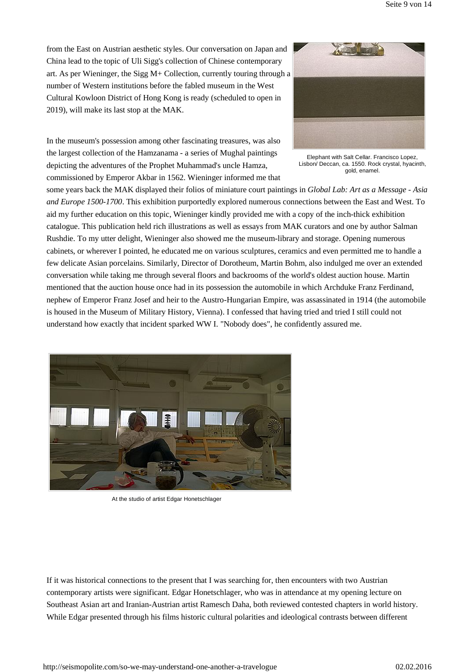from the East on Austrian aesthetic styles. Our conversation on Japan and China lead to the topic of Uli Sigg's collection of Chinese contemporary art. As per Wieninger, the Sigg M+ Collection, currently touring through a number of Western institutions before the fabled museum in the West Cultural Kowloon District of Hong Kong is ready (scheduled to open in 2019), will make its last stop at the MAK.



In the museum's possession among other fascinating treasures, was also the largest collection of the Hamzanama - a series of Mughal paintings depicting the adventures of the Prophet Muhammad's uncle Hamza, commissioned by Emperor Akbar in 1562. Wieninger informed me that

Elephant with Salt Cellar. Francisco Lopez, Lisbon/ Deccan, ca. 1550. Rock crystal, hyacinth, gold, enamel.

some years back the MAK displayed their folios of miniature court paintings in *Global Lab: Art as a Message - Asia and Europe 1500-1700*. This exhibition purportedly explored numerous connections between the East and West. To aid my further education on this topic, Wieninger kindly provided me with a copy of the inch-thick exhibition catalogue. This publication held rich illustrations as well as essays from MAK curators and one by author Salman Rushdie. To my utter delight, Wieninger also showed me the museum-library and storage. Opening numerous cabinets, or wherever I pointed, he educated me on various sculptures, ceramics and even permitted me to handle a few delicate Asian porcelains. Similarly, Director of Dorotheum, Martin Bohm, also indulged me over an extended conversation while taking me through several floors and backrooms of the world's oldest auction house. Martin mentioned that the auction house once had in its possession the automobile in which Archduke Franz Ferdinand, nephew of Emperor Franz Josef and heir to the Austro-Hungarian Empire, was assassinated in 1914 (the automobile is housed in the Museum of Military History, Vienna). I confessed that having tried and tried I still could not understand how exactly that incident sparked WW I. "Nobody does", he confidently assured me.



At the studio of artist Edgar Honetschlager

If it was historical connections to the present that I was searching for, then encounters with two Austrian contemporary artists were significant. Edgar Honetschlager, who was in attendance at my opening lecture on Southeast Asian art and Iranian-Austrian artist Ramesch Daha, both reviewed contested chapters in world history. While Edgar presented through his films historic cultural polarities and ideological contrasts between different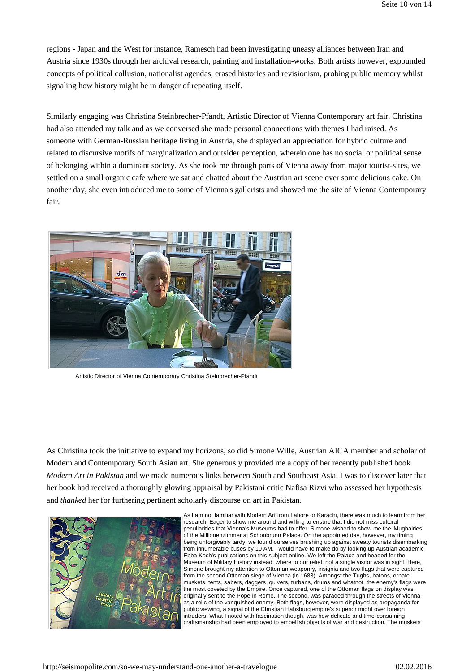regions - Japan and the West for instance, Ramesch had been investigating uneasy alliances between Iran and Austria since 1930s through her archival research, painting and installation-works. Both artists however, expounded concepts of political collusion, nationalist agendas, erased histories and revisionism, probing public memory whilst signaling how history might be in danger of repeating itself.

Similarly engaging was Christina Steinbrecher-Pfandt, Artistic Director of Vienna Contemporary art fair. Christina had also attended my talk and as we conversed she made personal connections with themes I had raised. As someone with German-Russian heritage living in Austria, she displayed an appreciation for hybrid culture and related to discursive motifs of marginalization and outsider perception, wherein one has no social or political sense of belonging within a dominant society. As she took me through parts of Vienna away from major tourist-sites, we settled on a small organic cafe where we sat and chatted about the Austrian art scene over some delicious cake. On another day, she even introduced me to some of Vienna's gallerists and showed me the site of Vienna Contemporary fair.



Artistic Director of Vienna Contemporary Christina Steinbrecher-Pfandt

As Christina took the initiative to expand my horizons, so did Simone Wille, Austrian AICA member and scholar of Modern and Contemporary South Asian art. She generously provided me a copy of her recently published book *Modern Art in Pakistan* and we made numerous links between South and Southeast Asia. I was to discover later that her book had received a thoroughly glowing appraisal by Pakistani critic Nafisa Rizvi who assessed her hypothesis and *thanked* her for furthering pertinent scholarly discourse on art in Pakistan.



As I am not familiar with Modern Art from Lahore or Karachi, there was much to learn from her research. Eager to show me around and willing to ensure that I did not miss cultural peculiarities that Vienna's Museums had to offer, Simone wished to show me the 'Mughalries' of the Millionenzimmer at Schonbrunn Palace. On the appointed day, however, my timing being unforgivably tardy, we found ourselves brushing up against sweaty tourists disembarking from innumerable buses by 10 AM. I would have to make do by looking up Austrian academic Ebba Koch's publications on this subject online. We left the Palace and headed for the Museum of Military History instead, where to our relief, not a single visitor was in sight. Here, Simone brought my attention to Ottoman weaponry, insignia and two flags that were captured from the second Ottoman siege of Vienna (in 1683). Amongst the Tughs, batons, ornate muskets, tents, sabers, daggers, quivers, turbans, drums and whatnot, the enemy's flags were the most coveted by the Empire. Once captured, one of the Ottoman flags on display was originally sent to the Pope in Rome. The second, was paraded through the streets of Vienna as a relic of the vanquished enemy. Both flags, however, were displayed as propaganda for public viewing, a signal of the Christian Habsburg empire's superior might over foreign intruders. What I noted with fascination though, was how delicate and time-consuming craftsmanship had been employed to embellish objects of war and destruction. The muskets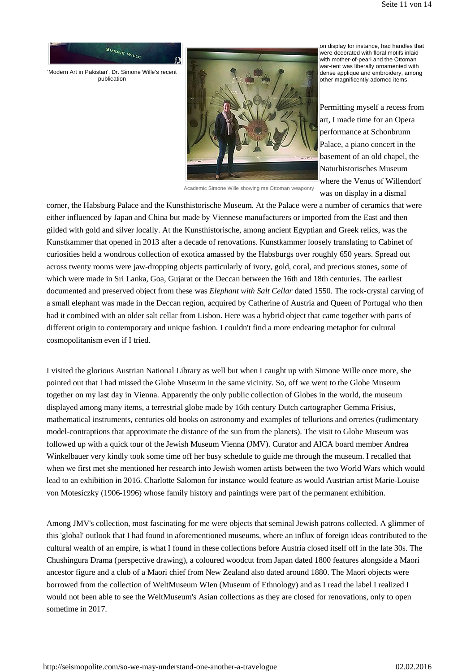

'Modern Art in Pakistan', Dr. Simone Wille's recent publication



on display for instance, had handles that were decorated with floral motifs inlaid with mother-of-pearl and the Ottoman war-tent was liberally ornamented with dense applique and embroidery, among other magnificently adorned items.

Permitting myself a recess from art, I made time for an Opera performance at Schonbrunn Palace, a piano concert in the basement of an old chapel, the Naturhistorisches Museum where the Venus of Willendorf was on display in a dismal

Academic Simone Wille showing me Ottoman weaponry

corner, the Habsburg Palace and the Kunsthistorische Museum. At the Palace were a number of ceramics that were either influenced by Japan and China but made by Viennese manufacturers or imported from the East and then gilded with gold and silver locally. At the Kunsthistorische, among ancient Egyptian and Greek relics, was the Kunstkammer that opened in 2013 after a decade of renovations. Kunstkammer loosely translating to Cabinet of curiosities held a wondrous collection of exotica amassed by the Habsburgs over roughly 650 years. Spread out across twenty rooms were jaw-dropping objects particularly of ivory, gold, coral, and precious stones, some of which were made in Sri Lanka, Goa, Gujarat or the Deccan between the 16th and 18th centuries. The earliest documented and preserved object from these was *Elephant with Salt Cellar* dated 1550. The rock-crystal carving of a small elephant was made in the Deccan region, acquired by Catherine of Austria and Queen of Portugal who then had it combined with an older salt cellar from Lisbon. Here was a hybrid object that came together with parts of different origin to contemporary and unique fashion. I couldn't find a more endearing metaphor for cultural cosmopolitanism even if I tried.

I visited the glorious Austrian National Library as well but when I caught up with Simone Wille once more, she pointed out that I had missed the Globe Museum in the same vicinity. So, off we went to the Globe Museum together on my last day in Vienna. Apparently the only public collection of Globes in the world, the museum displayed among many items, a terrestrial globe made by 16th century Dutch cartographer Gemma Frisius, mathematical instruments, centuries old books on astronomy and examples of tellurions and orreries (rudimentary model-contraptions that approximate the distance of the sun from the planets). The visit to Globe Museum was followed up with a quick tour of the Jewish Museum Vienna (JMV). Curator and AICA board member Andrea Winkelbauer very kindly took some time off her busy schedule to guide me through the museum. I recalled that when we first met she mentioned her research into Jewish women artists between the two World Wars which would lead to an exhibition in 2016. Charlotte Salomon for instance would feature as would Austrian artist Marie-Louise von Motesiczky (1906-1996) whose family history and paintings were part of the permanent exhibition.

Among JMV's collection, most fascinating for me were objects that seminal Jewish patrons collected. A glimmer of this 'global' outlook that I had found in aforementioned museums, where an influx of foreign ideas contributed to the cultural wealth of an empire, is what I found in these collections before Austria closed itself off in the late 30s. The Chushingura Drama (perspective drawing), a coloured woodcut from Japan dated 1800 features alongside a Maori ancestor figure and a club of a Maori chief from New Zealand also dated around 1880. The Maori objects were borrowed from the collection of WeltMuseum WIen (Museum of Ethnology) and as I read the label I realized I would not been able to see the WeltMuseum's Asian collections as they are closed for renovations, only to open sometime in 2017.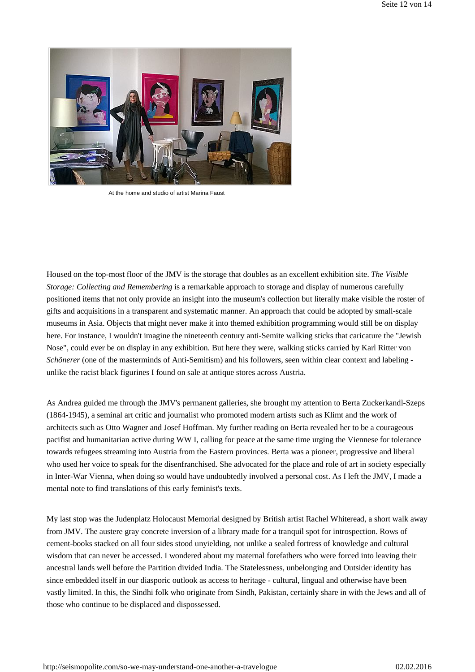

At the home and studio of artist Marina Faust

Housed on the top-most floor of the JMV is the storage that doubles as an excellent exhibition site. *The Visible Storage: Collecting and Remembering* is a remarkable approach to storage and display of numerous carefully positioned items that not only provide an insight into the museum's collection but literally make visible the roster of gifts and acquisitions in a transparent and systematic manner. An approach that could be adopted by small-scale museums in Asia. Objects that might never make it into themed exhibition programming would still be on display here. For instance, I wouldn't imagine the nineteenth century anti-Semite walking sticks that caricature the "Jewish Nose", could ever be on display in any exhibition. But here they were, walking sticks carried by Karl Ritter von *Schönerer* (one of the masterminds of Anti-Semitism) and his followers, seen within clear context and labeling unlike the racist black figurines I found on sale at antique stores across Austria.

As Andrea guided me through the JMV's permanent galleries, she brought my attention to Berta Zuckerkandl-Szeps (1864-1945), a seminal art critic and journalist who promoted modern artists such as Klimt and the work of architects such as Otto Wagner and Josef Hoffman. My further reading on Berta revealed her to be a courageous pacifist and humanitarian active during WW I, calling for peace at the same time urging the Viennese for tolerance towards refugees streaming into Austria from the Eastern provinces. Berta was a pioneer, progressive and liberal who used her voice to speak for the disenfranchised. She advocated for the place and role of art in society especially in Inter-War Vienna, when doing so would have undoubtedly involved a personal cost. As I left the JMV, I made a mental note to find translations of this early feminist's texts.

My last stop was the Judenplatz Holocaust Memorial designed by British artist Rachel Whiteread, a short walk away from JMV. The austere gray concrete inversion of a library made for a tranquil spot for introspection. Rows of cement-books stacked on all four sides stood unyielding, not unlike a sealed fortress of knowledge and cultural wisdom that can never be accessed. I wondered about my maternal forefathers who were forced into leaving their ancestral lands well before the Partition divided India. The Statelessness, unbelonging and Outsider identity has since embedded itself in our diasporic outlook as access to heritage - cultural, lingual and otherwise have been vastly limited. In this, the Sindhi folk who originate from Sindh, Pakistan, certainly share in with the Jews and all of those who continue to be displaced and dispossessed.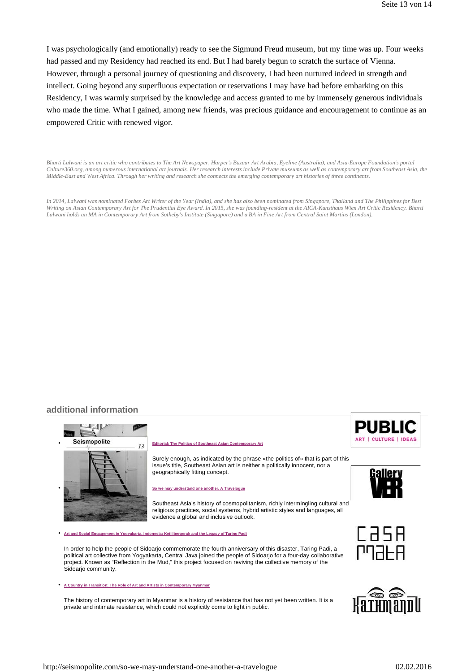I was psychologically (and emotionally) ready to see the Sigmund Freud museum, but my time was up. Four weeks had passed and my Residency had reached its end. But I had barely begun to scratch the surface of Vienna. However, through a personal journey of questioning and discovery, I had been nurtured indeed in strength and intellect. Going beyond any superfluous expectation or reservations I may have had before embarking on this Residency, I was warmly surprised by the knowledge and access granted to me by immensely generous individuals who made the time. What I gained, among new friends, was precious guidance and encouragement to continue as an empowered Critic with renewed vigor.

*Bharti Lalwani is an art critic who contributes to The Art Newspaper, Harper's Bazaar Art Arabia, Eyeline (Australia), and Asia-Europe Foundation's portal Culture360.org, among numerous international art journals. Her research interests include Private museums as well as contemporary art from Southeast Asia, the Middle-East and West Africa. Through her writing and research she connects the emerging contemporary art histories of three continents.*

*In 2014, Lalwani was nominated Forbes Art Writer of the Year (India), and she has also been nominated from Singapore, Thailand and The Philippines for Best Writing on Asian Contemporary Art for The Prudential Eye Award. In 2015, she was founding-resident at the AICA-Kunsthaus Wien Art Critic Residency. Bharti Lalwani holds an MA in Contemporary Art from Sotheby's Institute (Singapore) and a BA in Fine Art from Central Saint Martins (London).*

# **additional information**



• **Art and Social Engagement in Yogyakarta, Indonesia: Ketjilbergerak and the Legacy of Taring Padi**

In order to help the people of Sidoarjo commemorate the fourth anniversary of this disaster, Taring Padi, a political art collective from Yogyakarta, Central Java joined the people of Sidoarjo for a four-day collaborative project. Known as "Reflection in the Mud," this project focused on reviving the collective memory of the Sidoarjo community.

• **A Country in Transition: The Role of Art and Artists in Contemporary Myanmar**

The history of contemporary art in Myanmar is a history of resistance that has not yet been written. It is a private and intimate resistance, which could not explicitly come to light in public.